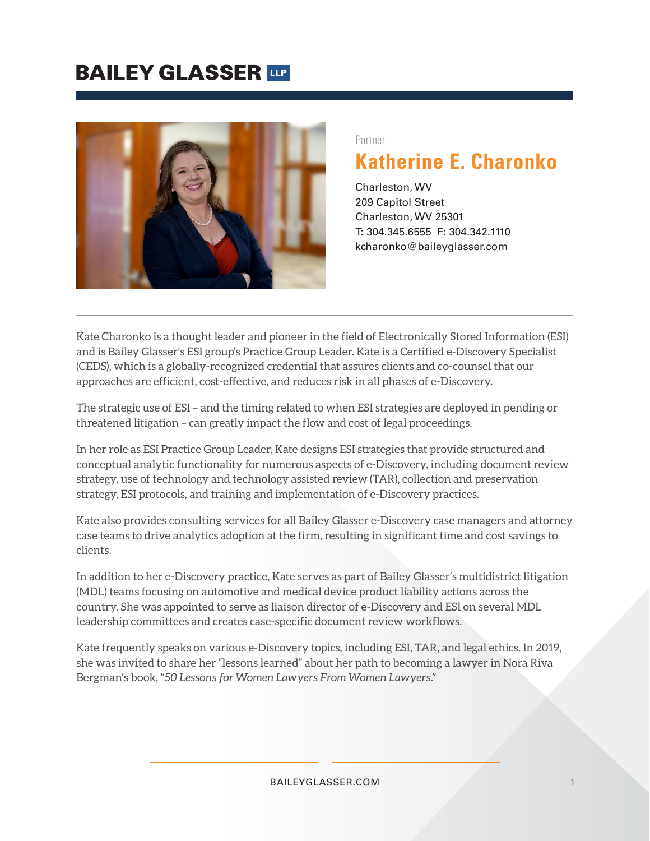

#### Partner

## **Katherine E. Charonko**

Charleston, WV 209 Capitol Street Charleston, WV 25301 T: 304.345.6555 F: 304.342.1110 kcharonko@baileyglasser.com

Kate Charonko is a thought leader and pioneer in the field of Electronically Stored Information (ESI) and is Bailey Glasser's ESI group's Practice Group Leader. Kate is a Certified e-Discovery Specialist (CEDS), which is a globally-recognized credential that assures clients and co-counsel that our approaches are efficient, cost-effective, and reduces risk in all phases of e-Discovery.

The strategic use of ESI – and the timing related to when ESI strategies are deployed in pending or threatened litigation – can greatly impact the flow and cost of legal proceedings.

In her role as ESI Practice Group Leader, Kate designs ESI strategies that provide structured and conceptual analytic functionality for numerous aspects of e-Discovery, including document review strategy, use of technology and technology assisted review (TAR), collection and preservation strategy, ESI protocols, and training and implementation of e-Discovery practices.

Kate also provides consulting services for all Bailey Glasser e-Discovery case managers and attorney case teams to drive analytics adoption at the firm, resulting in significant time and cost savings to clients.

In addition to her e-Discovery practice, Kate serves as part of Bailey Glasser's multidistrict litigation (MDL) teams focusing on automotive and medical device product liability actions across the country. She was appointed to serve as liaison director of e-Discovery and ESI on several MDL leadership committees and creates case-specific document review workflows.

Kate frequently speaks on various e-Discovery topics, including ESI, TAR, and legal ethics. In 2019, she was invited to share her "lessons learned" about her path to becoming a lawyer in Nora Riva Bergman's book, *"50 Lessons for Women Lawyers From Women Lawyers."*

#### BAILEYGLASSER.COM 1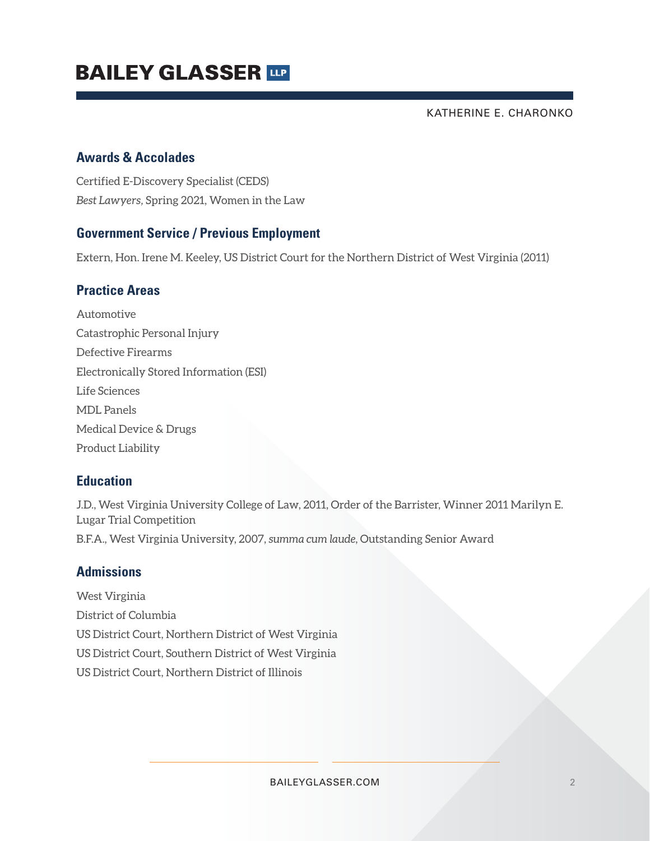# **BAILEY GLASSER THE**

KATHERINE E. CHARONKO

### **Awards & Accolades**

Certified E-Discovery Specialist (CEDS) *Best Lawyers,* Spring 2021, Women in the Law

### **Government Service / Previous Employment**

Extern, Hon. Irene M. Keeley, US District Court for the Northern District of West Virginia (2011)

### **Practice Areas**

Automotive Catastrophic Personal Injury Defective Firearms Electronically Stored Information (ESI) Life Sciences MDL Panels Medical Device & Drugs Product Liability

### **Education**

J.D., West Virginia University College of Law, 2011, Order of the Barrister, Winner 2011 Marilyn E. Lugar Trial Competition B.F.A., West Virginia University, 2007, *summa cum laude*, Outstanding Senior Award

### **Admissions**

West Virginia District of Columbia US District Court, Northern District of West Virginia US District Court, Southern District of West Virginia US District Court, Northern District of Illinois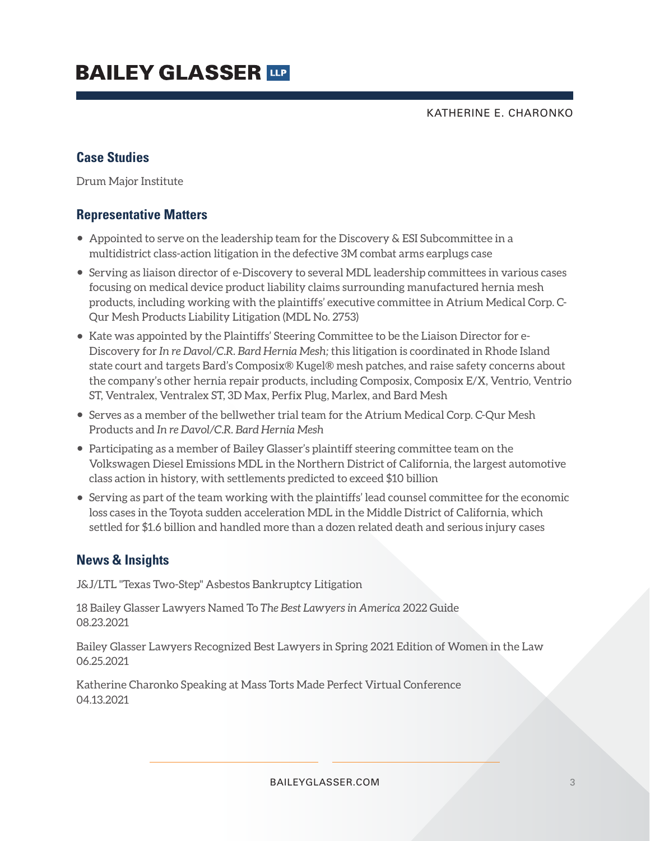KATHERINE E. CHARONKO

### **Case Studies**

Drum Major Institute

### **Representative Matters**

- Appointed to serve on the leadership team for the Discovery & ESI Subcommittee in a multidistrict class-action litigation in the defective 3M combat arms earplugs case
- Serving as liaison director of e-Discovery to several MDL leadership committees in various cases focusing on medical device product liability claims surrounding manufactured hernia mesh products, including working with the plaintiffs' executive committee in Atrium Medical Corp. C-Qur Mesh Products Liability Litigation (MDL No. 2753)
- Kate was appointed by the Plaintiffs' Steering Committee to be the Liaison Director for e-Discovery for *In re Davol/C.R. Bard Hernia Mesh;* this litigation is coordinated in Rhode Island state court and targets Bard's Composix® Kugel® mesh patches, and raise safety concerns about the company's other hernia repair products, including Composix, Composix E/X, Ventrio, Ventrio ST, Ventralex, Ventralex ST, 3D Max, Perfix Plug, Marlex, and Bard Mesh
- Serves as a member of the bellwether trial team for the Atrium Medical Corp. C-Qur Mesh Products and *In re Davol/C.R. Bard Hernia Mesh*
- Participating as a member of Bailey Glasser's plaintiff steering committee team on the Volkswagen Diesel Emissions MDL in the Northern District of California, the largest automotive class action in history, with settlements predicted to exceed \$10 billion
- Serving as part of the team working with the plaintiffs' lead counsel committee for the economic loss cases in the Toyota sudden acceleration MDL in the Middle District of California, which settled for \$1.6 billion and handled more than a dozen related death and serious injury cases

### **News & Insights**

J&J/LTL "Texas Two-Step" Asbestos Bankruptcy Litigation

18 Bailey Glasser Lawyers Named To *The Best Lawyers in America* 2022 Guide 08.23.2021

Bailey Glasser Lawyers Recognized Best Lawyers in Spring 2021 Edition of Women in the Law 06.25.2021

Katherine Charonko Speaking at Mass Torts Made Perfect Virtual Conference 04.13.2021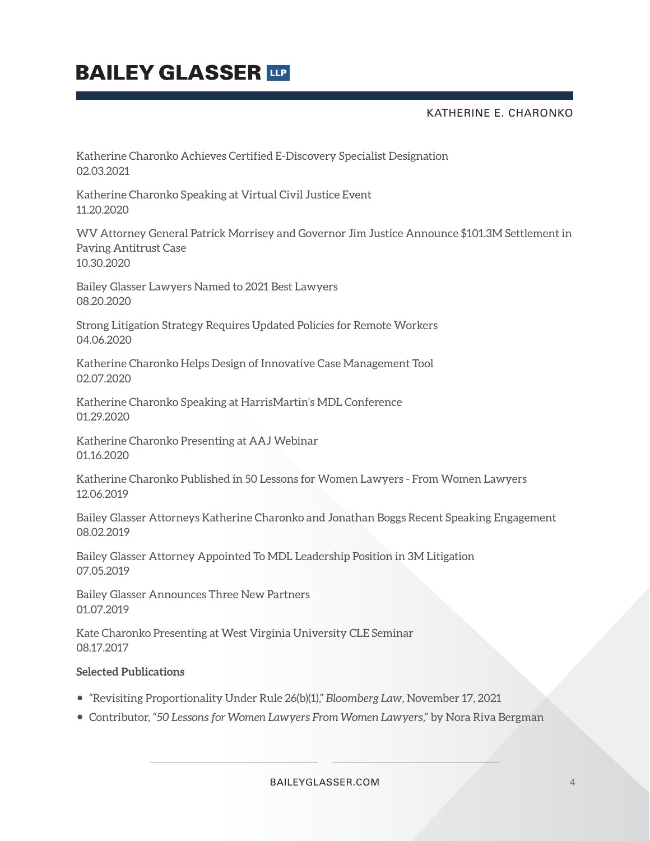KATHERINE E. CHARONKO

Katherine Charonko Achieves Certified E-Discovery Specialist Designation 02.03.2021

Katherine Charonko Speaking at Virtual Civil Justice Event 11.20.2020

WV Attorney General Patrick Morrisey and Governor Jim Justice Announce \$101.3M Settlement in Paving Antitrust Case 10.30.2020

Bailey Glasser Lawyers Named to 2021 Best Lawyers 08.20.2020

Strong Litigation Strategy Requires Updated Policies for Remote Workers 04.06.2020

Katherine Charonko Helps Design of Innovative Case Management Tool 02.07.2020

Katherine Charonko Speaking at HarrisMartin's MDL Conference 01.29.2020

Katherine Charonko Presenting at AAJ Webinar 01.16.2020

Katherine Charonko Published in 50 Lessons for Women Lawyers - From Women Lawyers 12.06.2019

Bailey Glasser Attorneys Katherine Charonko and Jonathan Boggs Recent Speaking Engagement 08.02.2019

Bailey Glasser Attorney Appointed To MDL Leadership Position in 3M Litigation 07.05.2019

Bailey Glasser Announces Three New Partners 01.07.2019

Kate Charonko Presenting at West Virginia University CLE Seminar 08.17.2017

#### **Selected Publications**

- "Revisiting Proportionality Under Rule 26(b)(1)," *Bloomberg Law*, November 17, 2021
- Contributor, *"50 Lessons for Women Lawyers From Women Lawyers,"* by Nora Riva Bergman